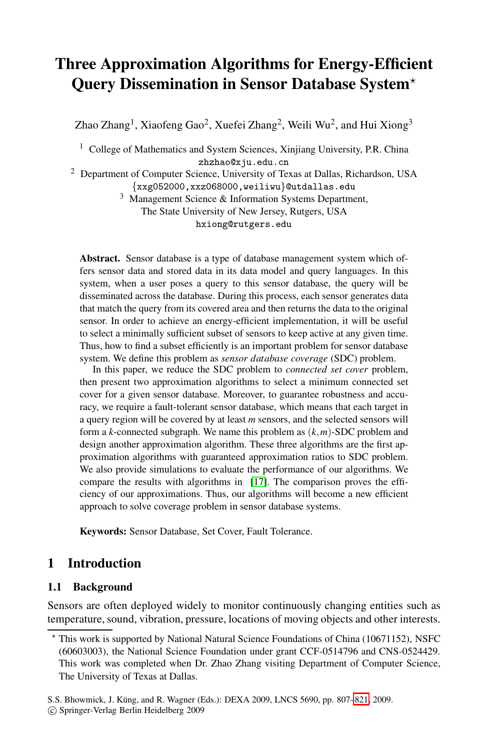# **Three Approximation Algorithms for Energy-Efficient Query Dissemination in Sensor Database System**-

Zhao Zhang<sup>1</sup>, Xiaofeng Gao<sup>2</sup>, Xuefei Zhang<sup>2</sup>, Weili Wu<sup>2</sup>, and Hui Xiong<sup>3</sup>

<sup>1</sup> College of Mathematics and System Sciences, Xinjiang University, P.R. China zhzhao@xju.edu.cn

<sup>2</sup> Department of Computer Science, University of Texas at Dallas, Richardson, USA *{*xxg052000,xxz068000,weiliwu*}*@utdallas.edu

<sup>3</sup> Management Science & Information Systems Department, The State University of New Jersey, Rutgers, USA

hxiong@rutgers.edu

**Abstract.** Sensor database is a type of database management system which offers sensor data and stored data in its data model and query languages. In this system, when a user poses a query to this sensor database, the query will be disseminated across the database. During this process, each sensor generates data that match the query from its covered area and then returns the data to the original sensor. In order to achieve an energy-efficient implementation, it will be useful to select a minimally sufficient subset of sensors to keep active at any given time. Thus, how to find a subset efficiently is an important problem for sensor database system. We define this problem as *sensor database coverage* (SDC) problem.

In this paper, we reduce the SDC problem to *connected set cover* problem, then present two a[ppro](#page-14-0)ximation algorithms to select a minimum connected set cover for a given sensor database. Moreover, to guarantee robustness and accuracy, we require a fault-tolerant sensor database, which means that each target in a query region will be covered by at least *m* sensors, and the selected sensors will form a *k*-connected subgraph. We name this problem as (*k*,*m*)-SDC problem and design another approximation algorithm. These three algorithms are the first approximation algorithms with guaranteed approximation ratios to SDC problem. We also provide simulations to evaluate the performance of our algorithms. We compare the results with algorithms in [17]. The comparison proves the efficiency of our approximations. Thus, our algorithms will become a new efficient approach to solve coverage problem in sensor database systems.

**Keywords:** Sensor Database, Set Cover, Fault Tolerance.

### **1 Introduction**

#### **1.1 Background**

Sensors are often deployed widely to monitor continuously changing entities such as temperature, sound, vibration, pressure, locations of moving objects and other interests.

<sup>-</sup> This work is supported by National Natural Science Foundations of China (10671152), NSFC (60603003), the National Science Foundation under grant CCF-0514796 and CNS-0524429. This work was completed when Dr. Zhao Zhang visiting Department of Computer Science, The University of Texas at Dallas.

S.S. Bhowmick, J. Küng, and R. Wagner (Eds.): DEXA 2009, LNCS 5690, pp. 807–821, 2009. -c Springer-Verlag Berlin Heidelberg 2009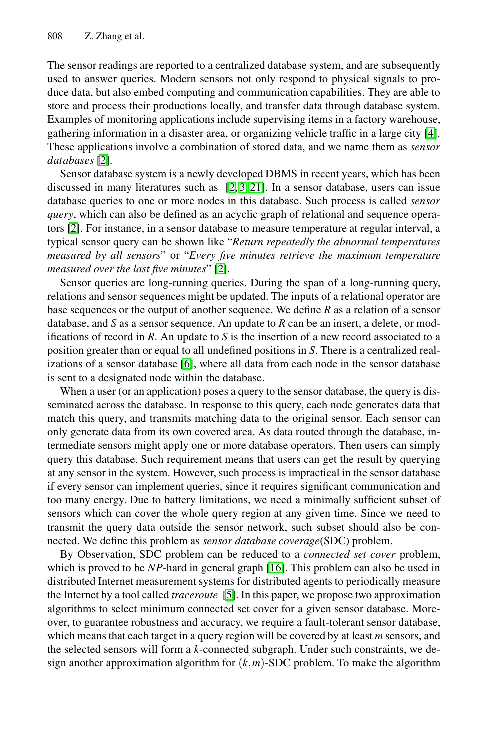The sensor readings are reported to a centralized database system, and are subsequently used to answer qu[eri](#page-13-0)[es](#page-13-1)[. M](#page-14-1)odern sensors not only respond to physical signals to produce data, but also embed computing and communication capabilities. They are able to store and process their productions locally, and transfer data through database system. Examples of monitoring applications include supervising items in a factory warehouse, gathering information in a disaster area, or organizing vehicle traffic in a large city [4]. These applications involve a combination of stored data, and we name them as *sensor databases* [2].

Sensor datab[ase](#page-13-0) system is a newly developed DBMS in recent years, which has been discussed in many literatures such as [2, 3, 21]. In a sensor database, users can issue database queries to one or more nodes in this database. Such process is called *sensor query*, which can also be defined as an acyclic graph of relational and sequence operators [2]. For instance, in a sensor database to measure temperature at regular interval, a typical sensor query can be shown like "*Return repeatedly the abnormal temperatures measure[d b](#page-13-2)y all sensors*" or "*Every five minutes retrieve the maximum temperature measured over the last five minutes*" [2].

Sensor queries are long-running queries. During the span of a long-running query, relations and sensor sequences might be updated. The inputs of a relational operator are base sequences or the output of another sequence. We define *R* as a relation of a sensor database, and *S* as a sensor sequence. An update to *R* can be an insert, a delete, or modifications of record in *R*. An update to *S* is the insertion of a new record associated to a position greater than or equal to all undefined positions in *S*. There is a centralized realizations of a sensor database [6], where all data from each node in the sensor database is sent to a designated node within the database.

When a user (or an application) poses a query to the sensor database, the query is disseminated across the database. In response to this query, each node generates data that match this query, and transmits matching data to the original sensor. Each sensor can only generate data from its own covered area. As data routed through the database, intermediate sensors might apply one or more database operators. Then users can simply query this database. Such r[equi](#page-14-2)rement means that users can get the result by querying at any sensor in the system. However, such process is impractical in the sensor database if every sensor ca[n im](#page-13-3)plement queries, since it requires significant communication and too many energy. Due to battery limitations, we need a minimally sufficient subset of sensors which can cover the whole query region at any given time. Since we need to transmit the query data outside the sensor network, such subset should also be connected. We define this problem as *sensor database coverage*(SDC) problem.

By Observation, SDC problem can be reduced to a *connected set cover* problem, which is proved to be *NP*-hard in general graph [16]. This problem can also be used in distributed Internet measurement systems for distributed agents to periodically measure the Internet by a tool called *traceroute* [5]. In this paper, we propose two approximation algorithms to select minimum connected set cover for a given sensor database. Moreover, to guarantee robustness and accuracy, we require a fault-tolerant sensor database, which means that each target in a query region will be covered by at least *m* sensors, and the selected sensors will form a *k*-connected subgraph. Under such constraints, we design another approximation algorithm for  $(k,m)$ -SDC problem. To make the algorithm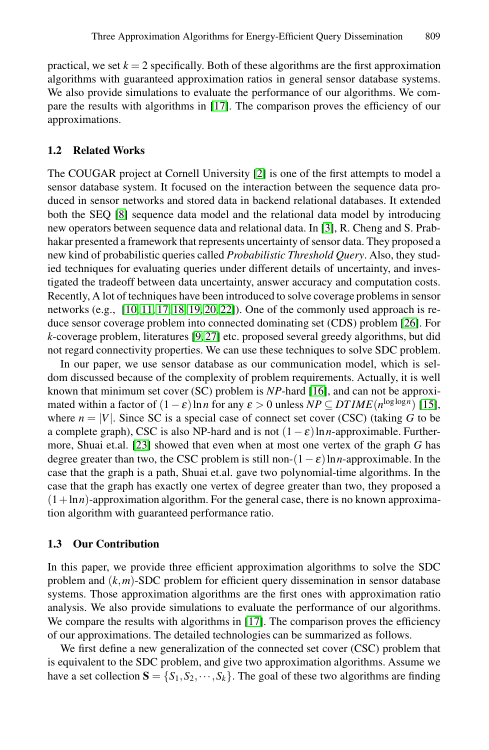practical, we set  $k = 2$  sp[ec](#page-13-0)ifically. Both of these algorithms are the first approximation algorithms with guaranteed approximation ratios in general sensor database systems. We also provide simulations to evaluate the performance of our algorithms. We compare the results with algorithms in [17]. The comparison proves the efficiency of our approximations.

### **1.2 Related Works**

The COUGAR project at Cornell University [2] is one of the first attempts to model a sensor database system. It focused on the interaction between the sequence data pro[du](#page-13-4)[ced](#page-14-0) [in s](#page-14-3)[ens](#page-14-4)[or](#page-14-5) [netw](#page-14-6)orks and stored data in backend relational databases. It extended both the SEQ [8] sequence data model and the relation[al d](#page-14-7)ata model by introducing new operat[ors](#page-13-5) [bet](#page-14-8)ween sequence data and relational data. In [3], R. Cheng and S. Prabhakar presented a framework that represents uncertainty of sensor data. They proposed a new kind of probabilistic queries called *Probabilistic Threshold Query*. Also, they studied techniques for evaluating queries under different details of uncertainty, and investigated the tradeoff between data unc[erta](#page-14-2)inty, answer accuracy and computation costs. Recently, A lot of techniques have been introduced to solve co[vera](#page-14-9)ge problems in sensor networks  $(e.g., [10, 11, 17, 18, 19, 20, 22])$ . One of the commonly used approach is reduce sensor coverage problem into connected dominating set (CDS) problem [26]. For *[k](#page-14-10)*-coverage problem, literatures [9, 27] etc. proposed several greedy algorithms, but did not regard connectivity properties. We can use these techniques to solve SDC problem.

In our paper, we use sensor database as our communication model, which is seldom discussed because of the complexity of problem requirements. Actually, it is well known that minimum set cover (SC) problem is *NP*-hard [16], and can not be approximated within a factor of  $(1 - \varepsilon) \ln n$  for any  $\varepsilon > 0$  unless  $NP \subseteq DTIME(n^{\log \log n})$  [15], where  $n = |V|$ . Since SC is a special case of connect set cover (CSC) (taking G to be a complete graph), CSC is also NP-hard and is not  $(1 – \varepsilon) \ln n$ -approximable. Furthermore, Shuai et.al. [23] showed that even when at most one vertex of the graph *G* has degree greater than two, the CSC problem is still non- $(1 - \varepsilon)$ ln*n*-approximable. In the case that the graph is a path, Shuai et.al. gave two polynomial-time algorithms. In the case that the graph has exactly one vertex of degree greater than two, they proposed a  $(1 + \ln n)$ -approximation algorithm. For the general case, there is no known approximation algorithm with gu[aran](#page-14-0)teed performance ratio.

### **1.3 Our Contribution**

In this paper, we provide three efficient approximation algorithms to solve the SDC problem and  $(k,m)$ -SDC problem for efficient query dissemination in sensor database systems. Those approximation algorithms are the first ones with approximation ratio analysis. We also provide simulations to evaluate the performance of our algorithms. We compare the results with algorithms in [17]. The comparison proves the efficiency of our approximations. The detailed technologies can be summarized as follows.

We first define a new generalization of the connected set cover (CSC) problem that is equivalent to the SDC problem, and give two approximation algorithms. Assume we have a set collection  $S = \{S_1, S_2, \dots, S_k\}$ . The goal of these two algorithms are finding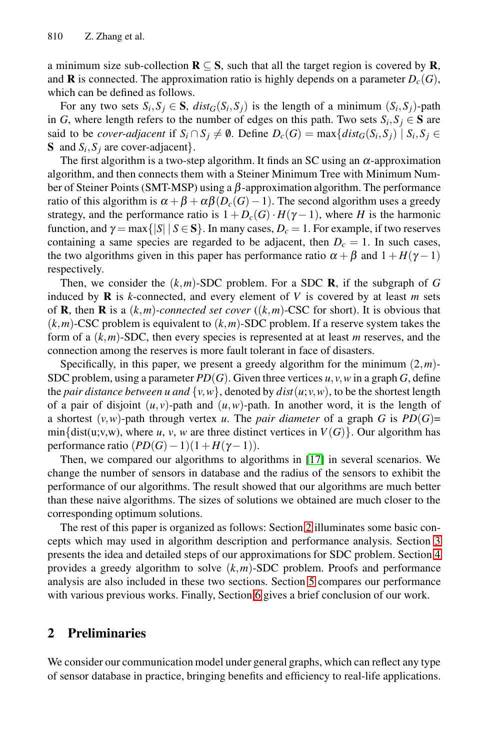a minimum size sub-collection  $\mathbf{R} \subseteq \mathbf{S}$ , such that all the target region is covered by  $\mathbf{R}$ , and **R** is connected. The approximation ratio is highly depends on a parameter  $D_c(G)$ , which can be defined as follows.

For any two sets  $S_i, S_j \in \mathbf{S}$ ,  $dist_G(S_i, S_j)$  is the length of a minimum  $(S_i, S_j)$ -path in *G*, where length refers to the number of edges on this path. Two sets  $S_i, S_j \in \mathbf{S}$  are said to be *cover-adjacent* if  $S_i \cap S_j \neq \emptyset$ . Define  $D_c(G) = \max\{dist_G(S_i, S_j) \mid S_i, S_j \in$ **S** and  $S_i$ ,  $S_j$  are cover-adjacent}.

The first algorithm is a two-step algorithm. It finds an SC using an  $\alpha$ -approximation algorithm, and then connects them with a Steiner Minimum Tree with Minimum Number of Steiner Points (SMT-MSP) using a β-approximation algorithm. The performance ratio of this algorithm is  $\alpha + \beta + \alpha \beta (D_c(G) - 1)$ . The second algorithm uses a greedy strategy, and the performance ratio is  $1 + D_c(G) \cdot H(\gamma - 1)$ , where *H* is the harmonic function, and  $\gamma = \max\{|S| | S \in S\}$ . In many cases,  $D_c = 1$ . For example, if two reserves containing a same species are regarded to be adjacent, then  $D_c = 1$ . In such cases, the two algorithms given in this paper has performance ratio  $\alpha + \beta$  and  $1 + H(\gamma - 1)$ respectively.

Then, we consider the  $(k,m)$ -SDC problem. For a SDC **R**, if the subgraph of *G* induced by **R** is *k*-connected, and every element of V is covered by at least *m* sets of **R**, then **R** is a (*k*,*m*)*-connected set cover* ((*k*,*m*)-CSC for short). It is obvious that  $(k,m)$ -CSC problem is equivalent to  $(k,m)$ -SDC problem. If a reserve system takes the form of a (*k*,*m*)-SDC, then every species is represented at at least *m* reserves, and the connection among the reserves is m[ore f](#page-14-0)ault tolerant in face of disasters.

Specifically, in this paper, we present a greedy algorithm for the minimum  $(2,m)$ -SDC problem, using a parameter *PD*(*G*). Given three vertices *u*,*v*,*w* in a graph *G*, define the *pair distance between u and*  $\{v, w\}$ , denoted by  $dist(u; v, w)$ , to be the shortest length of a pair of disjoint  $(u, v)$ -path and  $(u, w)$ -path. In another word, it is the length of a shortest  $(v, w)$ -path through vert[ex](#page-3-0) *u*. The *pair diameter* of a graph *G* is  $PD(G)$ =  $min{dist(u,v,w)}$  $min{dist(u,v,w)}$  $min{dist(u,v,w)}$ , where *u*, *v*, *w* are three distinct vertices in  $V(G)$ . Our algorithm has performance ratio  $(PD(G)-1)(1+H(\gamma-1)).$ 

Then, we compared our algorithms to algorithms in [17] in [se](#page-8-0)veral scenarios. We change the number of sensors in da[tab](#page-10-0)ase and the radius of the sensors to exhibit the performance of our algo[rit](#page-13-6)hms. The result showed that our algorithms are much better than these naive algorithms. The sizes of solutions we obtained are much closer to the corresponding optimum solutions.

<span id="page-3-0"></span>The rest of this paper is organized as follows: Section 2 illuminates some basic concepts which may used in algorithm description and performance analysis. Section 3 presents the idea and detailed steps of our approximations for SDC problem. Section 4 provides a greedy algorithm to solve (*k*,*m*)-SDC problem. Proofs and performance analysis are also included in these two sections. Section 5 compares our performance with various previous works. Finally, Section 6 gives a brief conclusion of our work.

### **2 Preliminaries**

We consider our communication model under general graphs, which can reflect any type of sensor database in practice, bringing benefits and efficiency to real-life applications.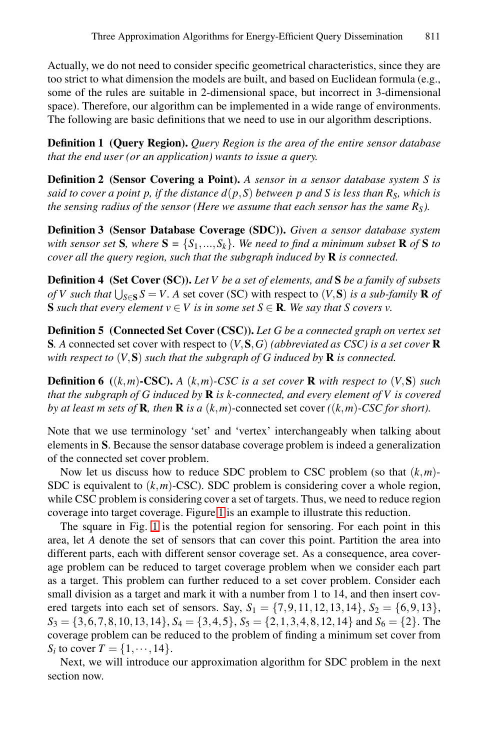Actually, we do not need to consider specific geometrical characteristics, since they are too strict to what dimension the models are built, and based on Euclidean formula (e.g., some of the rules are suitable in 2-dimensional space, but incorrect in 3-dimensional space). Therefore, our algorithm can be implemented in a wide range of environments. The following are basic definitions that we need to use in our algorithm descriptions.

**Definition 1 (Query Region).** *Query Region is the area of the entire sensor database that the end user (or an application) wants to issue a query.*

**Definition 2 (Sensor Covering a Point).** *A sensor in a sensor database system S is said to cover a point p, if the distance*  $d(p, S)$  *between p and S is less than R<sub>S</sub>, which is the sensing radius of the sensor (Here we assume that each sensor has the same RS).*

**Definition 3 (Sensor Database Coverage (SDC)).** *Given a sensor database system with sensor set* **S***, where*  $S = \{S_1, ..., S_k\}$ *. We need to find a minimum subset* **R** *of* **S** *to cover all the query region, such that the subgraph induced by* **R** *is connected.*

**Definition 4 (Set Cover (SC)).** *Let V be a set of elements, and* **S** *be a family of subsets of V such that*  $\bigcup_{S \in \mathbf{S}} S = V$ . A set cover (SC) with respect to  $(V, \mathbf{S})$  *is a sub-family* **R** *of* **S** *such that every element*  $v \in V$  *is in some set*  $S \in \mathbf{R}$ *. We say that* S *covers v.* 

**Definition 5 (Connected Set Cover (CSC)).** *Let G be a connected graph on vertex set* **S***. A* connected set cover with respect to (*V*,**S**,*G*) *(abbreviated as CSC) is a set cover* **R** *with respect to* (*V*,**S**) *such that the subgraph of G induced by* **R** *is connected.*

**Definition 6 (**(*k*,*m*)**-CSC).** *A* (*k*,*m*)*-CSC is a set cover* **R** *with respect to* (*V*,**S**) *such that the subgraph of G induced by* **R** *is k-connected, and every element of V is covered by at least m set[s o](#page-5-1)f* **R***, then* **R** *is a* ( $k,m$ )-connected set cover  $((k,m)$ -CSC for short).

Note that we use terminology 'set' and 'vertex' interchangeably when talking about elements in **S**. Because the sensor database coverage problem is indeed a generalization of the connected set cover problem.

Now let us discuss how to reduce SDC problem to CSC problem (so that (*k*,*m*)- SDC is equivalent to  $(k,m)$ -CSC). SDC problem is considering cover a whole region, while CSC problem is considering cover a set of targets. Thus, we need to reduce region coverage into target coverage. Figure 1 is an example to illustrate this reduction.

The square in Fig. 1 is the potential region for sensoring. For each point in this area, let *A* denote the set of sensors that can cover this point. Partition the area into different parts, each with different sensor coverage set. As a consequence, area coverage problem can be reduced to target coverage problem when we consider each part as a target. This problem can further reduced to a set cover problem. Consider each small division as a target and mark it with a number from 1 to 14, and then insert covered targets into each set of sensors. Say,  $S_1 = \{7, 9, 11, 12, 13, 14\}$ ,  $S_2 = \{6, 9, 13\}$ ,  $S_3 = \{3, 6, 7, 8, 10, 13, 14\}$ ,  $S_4 = \{3, 4, 5\}$ ,  $S_5 = \{2, 1, 3, 4, 8, 12, 14\}$  and  $S_6 = \{2\}$ . The coverage problem can be reduced to the problem of finding a minimum set cover from *S<sub>i</sub>* to cover  $T = \{1, \dots, 14\}$ .

Next, we will introduce our approximation algorithm for SDC problem in the next section now.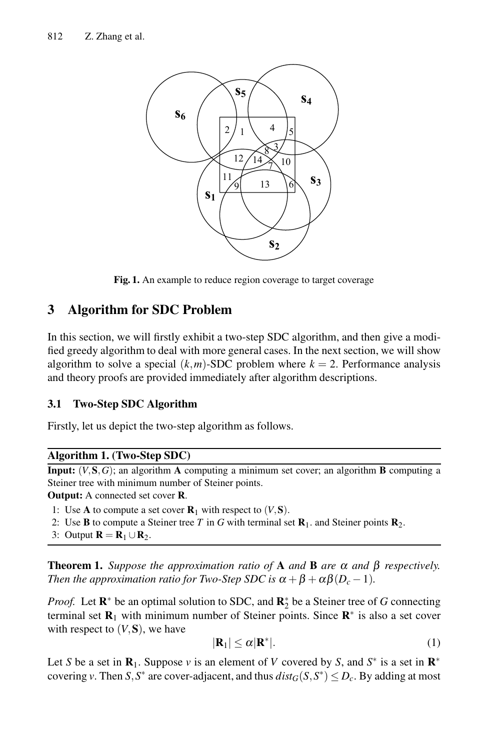

<span id="page-5-1"></span>**Fig. 1.** An example to reduce region coverage to target coverage

## <span id="page-5-0"></span>**3 Algorithm for SDC Problem**

In this section, we will firstly exhibit a two-step SDC algorithm, and then give a modified greedy algorithm to deal with more general cases. In the next section, we will show algorithm to solve a special  $(k,m)$ -SDC problem where  $k = 2$ . Performance analysis and theory proofs are provided immediately after algorithm descriptions.

### **3.1 Two-Step SDC Algorithm**

Firstly, let us depict the two-step algorithm as follows.

### **Algorithm 1. (Two-Step SDC)**

**Input:** (*V*,**S**,*G*); an algorithm **A** computing a minimum set cover; an algorithm **B** computing a Steiner tree with minimum number of Steiner points.

**Output:** A connected set cover **R**.

- 1: Use **A** to compute a set cover  $\mathbf{R}_1$  with respect to  $(V, \mathbf{S})$ .
- 2: Use **B** to compute a Steiner tree *T* in *G* with terminal set **R**1. and Steiner points **R**2.
- 3: Output  $\mathbf{R} = \mathbf{R}_1 \cup \mathbf{R}_2$ .

**Theorem 1.** *Suppose the approximation ratio of* **A** *and* **B** *are*  $\alpha$  *and*  $\beta$  *respectively. Then the approximation ratio for Two-Step SDC is*  $\alpha + \beta + \alpha\beta(D_c - 1)$ *.* 

*Proof.* Let **R**<sup>∗</sup> be an optimal solution to SDC, and **R**<sup>∗</sup> <sup>2</sup> be a Steiner tree of *G* connecting terminal set  $\mathbf{R}_1$  with minimum number of Steiner points. Since  $\mathbf{R}^*$  is also a set cover with respect to  $(V, S)$ , we have

$$
|\mathbf{R}_1| \le \alpha |\mathbf{R}^*|.\tag{1}
$$

Let *S* be a set in  $\mathbf{R}_1$ . Suppose *v* is an element of *V* covered by *S*, and *S*<sup>\*</sup> is a set in  $\mathbf{R}^*$ covering *v*. Then *S*, *S*<sup>\*</sup> are cover-adjacent, and thus  $dist_G(S, S^*) \le D_c$ . By adding at most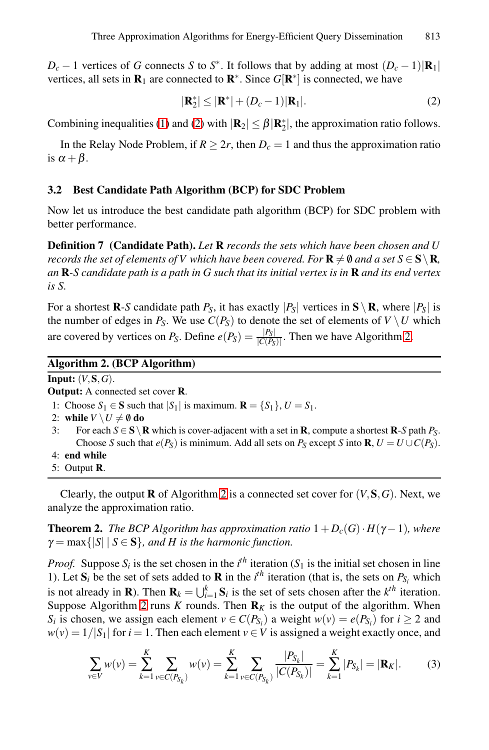$D_c - 1$  vertices of *G* connects *S* to *S*<sup>∗</sup>. It follows that by adding at most  $(D_c - 1)|\mathbf{R}_1|$ vertices, all sets in  $\mathbf{R}_1$  are connected to  $\mathbf{R}^*$ . Since  $G[\mathbf{R}^*]$  is connected, we have

$$
|\mathbf{R}_2^*| \le |\mathbf{R}^*| + (D_c - 1)|\mathbf{R}_1|.
$$
 (2)

Combining inequalities (1) and (2) with  $|\mathbf{R}_2| \leq \beta |\mathbf{R}_2^*|$ , the approximation ratio follows.

In the Relay Node Problem, if  $R \geq 2r$ , then  $D_c = 1$  and thus the approximation ratio is  $\alpha + \beta$ .

### **3.2 Best Candidate Path Algorithm (BCP) for SDC Problem**

Now let us introduce the best candidate path algorithm (BCP) for SDC problem with better performance.

<span id="page-6-0"></span>**Definition 7 (Candidate Path).** *Let* **R** *records the sets which have been chosen and U records the set of elements of V which have been covered. For*  $\mathbf{R} \neq \emptyset$  and a set  $S \in \mathbf{S} \setminus \mathbf{R}$ , *an* **R***-S candidate path is a path in G such that its initial vertex is in* **R** *and its end vertex is S.*

For a shortest **R**-*S* candidate path  $P_S$ , it has exactly  $|P_S|$  vertices in  $S \setminus \mathbf{R}$ , where  $|P_S|$  is the number of edges in  $P_S$ . We use  $C(P_S)$  to denote the set of elements of  $V \setminus U$  which are covered by vertices on  $P_S$ . Define  $e(P_S) = \frac{|P_S|}{|C(P_S)|}$ . Then we have Algorithm 2.

|  |  |  |  | Algorithm 2. (BCP Algorithm) |  |
|--|--|--|--|------------------------------|--|
|--|--|--|--|------------------------------|--|

| <b>Input:</b> $(V, S, G)$ .                                                                                                                         |
|-----------------------------------------------------------------------------------------------------------------------------------------------------|
| <b>Output:</b> A connected set cover <b>R</b> .                                                                                                     |
| 1: Choose $S_1 \in \mathbf{S}$ such that $ S_1 $ is maximum. $\mathbf{R} = \{S_1\}, U = S_1$ .                                                      |
| 2: while $V \setminus U \neq \emptyset$ do                                                                                                          |
| For each $S \in \mathbf{S} \setminus \mathbf{R}$ which is cover-adjacent with a set in <b>R</b> , compute a shortest <b>R</b> -S path $P_S$ .<br>3: |
| Choose S such that $e(P_S)$ is minimum. Add all sets on $P_S$ except S into <b>R</b> , $U = U \cup C(P_S)$ .                                        |
| 4: end while                                                                                                                                        |
| 5: Output $\mathbf{R}$ .                                                                                                                            |
| Clearly, the output <b>R</b> of Algorithm 2 is a connected set cover for $(V, S, G)$ . Next, we                                                     |

[an](#page-6-0)alyze the approximation ratio.

**Theorem 2.** *The BCP Algorithm has approximation ratio*  $1 + D_c(G) \cdot H(\gamma - 1)$ *, where*  $\gamma = \max\{|S| \mid S \in \mathbf{S}\}\$ , and *H* is the harmonic function.

<span id="page-6-1"></span>*Proof.* Suppose  $S_i$  is the set chosen in the *i*<sup>th</sup> iteration ( $S_1$  is the initial set chosen in line 1). Let  $S_i$  be the set of sets added to **R** in the *i*<sup>th</sup> iteration (that is, the sets on  $P_{S_i}$  which is not already in **R**). Then  $\mathbf{R}_k = \bigcup_{i=1}^k \mathbf{S}_i$  is the set of sets chosen after the  $k^{th}$  iteration. Suppose Algorithm 2 runs  $\hat{K}$  rounds. Then  $\mathbf{R}_{\hat{K}}$  is the output of the algorithm. When *S<sub>i</sub>* is chosen, we assign each element  $v \in C(P_{S_i})$  a weight  $w(v) = e(P_{S_i})$  for  $i \ge 2$  and  $w(v) = 1/|S_1|$  for  $i = 1$ . Then each element  $v \in V$  is assigned a weight exactly once, and

$$
\sum_{v \in V} w(v) = \sum_{k=1}^{K} \sum_{v \in C(P_{S_k})} w(v) = \sum_{k=1}^{K} \sum_{v \in C(P_{S_k})} \frac{|P_{S_k}|}{|C(P_{S_k})|} = \sum_{k=1}^{K} |P_{S_k}| = |\mathbf{R}_K|.
$$
 (3)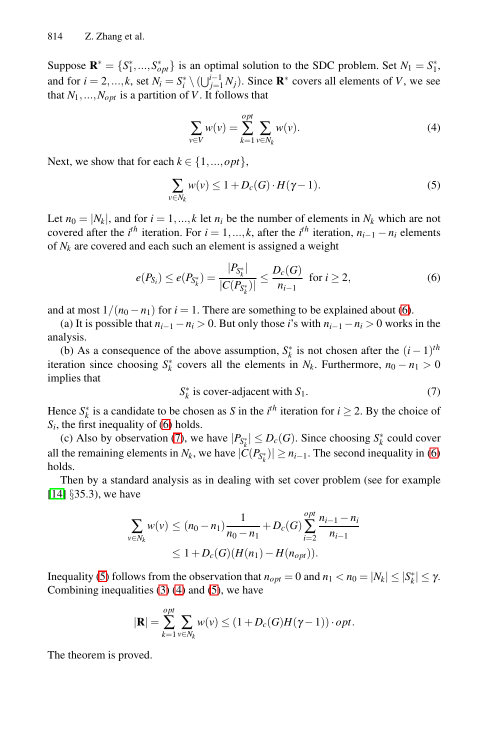<span id="page-7-3"></span><span id="page-7-2"></span>Suppose  $\mathbf{R}^* = \{S_1^*,...,S_{opt}^*\}$  is an optimal solution to the SDC problem. Set  $N_1 = S_1^*$ , and for  $i = 2, ..., k$ , set  $N_i = S_i^* \setminus (\bigcup_{j=1}^{i-1} N_j)$ . Since  $\mathbb{R}^*$  covers all elements of *V*, we see that  $N_1, \ldots, N_{opt}$  is a partition of *V*. It follows that

$$
\sum_{v \in V} w(v) = \sum_{k=1}^{opt} \sum_{v \in N_k} w(v).
$$
 (4)

<span id="page-7-0"></span>Next, we show that for each  $k \in \{1, ..., opt\}$ ,

$$
\sum_{v \in N_k} w(v) \le 1 + D_c(G) \cdot H(\gamma - 1). \tag{5}
$$

Let  $n_0 = |N_k|$ , and for  $i = 1, ..., k$  let  $n_i$  be the number of elements in  $N_k$  which are not covered after the *i*<sup>th</sup> iteration. For  $i = 1, ..., k$ , after the *i*<sup>th</sup> iteration,  $n_{i-1} - n_i$  elements of *Nk* are covered and each such an element is assigned a weight

$$
e(P_{S_i}) \le e(P_{S_k^*}) = \frac{|P_{S_k^*}|}{|C(P_{S_k^*})|} \le \frac{D_c(G)}{n_{i-1}} \text{ for } i \ge 2,
$$
 (6)

<span id="page-7-1"></span>and at most  $1/(n_0 - n_1)$  for  $i = 1$ . There are something to be explained about (6).

([a\)](#page-7-0) It is possible that  $n_{i-1} - n_i > 0$ . But only those *i*'s with  $n_{i-1} - n_i > 0$  works in the analysi[s.](#page-7-1)

(b) As a consequence of the above assumption,  $S_k^*$  is not c[hos](#page-7-0)en after the  $(i-1)$ <sup>th</sup> iteration since choosing  $S_k^*$  covers all the elements in  $N_k$ . Furthermore,  $n_0 - n_1 > 0$ implies that

$$
S_k^* \text{ is cover-adjacent with } S_1. \tag{7}
$$

Hence  $S_k^*$  is a candidate to be chosen as *S* in the *i*<sup>th</sup> iteration for  $i \ge 2$ . By the choice of *Si*, the first inequality of (6) holds.

(c) Also by observation (7), we have  $|P_{S_k^*}| \leq D_c(G)$ . Since choosing  $S_k^*$  could cover all the remaining elements in  $N_k$ , we have  $|C(P_{S_k^*})| \ge n_{i-1}$ . The second inequality in (6) holds.

[The](#page-6-1)[n b](#page-7-2)y a s[tan](#page-7-3)dard analysis as in dealing with set cover problem (see for example [14] §35.3), we have

$$
\sum_{v \in N_k} w(v) \le (n_0 - n_1) \frac{1}{n_0 - n_1} + D_c(G) \sum_{i=2}^{opt} \frac{n_{i-1} - n_i}{n_{i-1}}
$$
  
 
$$
\le 1 + D_c(G)(H(n_1) - H(n_{opt})).
$$

Inequality (5) follows from the observation that  $n_{opt} = 0$  and  $n_1 < n_0 = |N_k| \leq |S_k^*| \leq \gamma$ . Combining inequalities  $(3)$   $(4)$  and  $(5)$ , we have

$$
|\mathbf{R}| = \sum_{k=1}^{opt} \sum_{v \in N_k} w(v) \le (1 + D_c(G)H(\gamma - 1)) \cdot opt.
$$

The theorem is proved.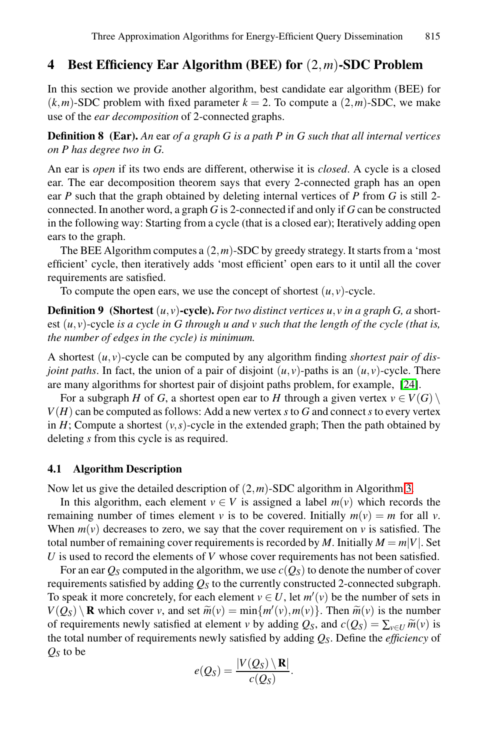### <span id="page-8-0"></span>**4 Best Efficiency Ear Algorithm (BEE) for** (2,*m*)**-SDC Problem**

In this section we provide another algorithm, best candidate ear algorithm (BEE) for  $(k,m)$ -SDC problem with fixed parameter  $k = 2$ . To compute a  $(2,m)$ -SDC, we make use of the *ear decomposition* of 2-connected graphs.

**Definition 8 (Ear).** *An* ear *of a graph G is a path P in G such that all internal vertices on P has degree two in G.*

An ear is *open* if its two ends are different, otherwise it is *closed*. A cycle is a closed ear. The ear decomposition theorem says that every 2-connected graph has an open ear *P* such that the graph obtained by deleting internal vertices of *P* from *G* is still 2 connected. In another word, a graph *G* is 2-connected if and only if *G* can be constructed in the following way: Starting from a cycle (that is a closed ear); Iteratively adding open ears to the graph.

The BEE Algorithm computes a (2,*m*)-SDC by greedy strategy. It starts from a 'most efficient' cycle, then iteratively adds 'most efficient' open ears to it until all the cover requirements are satisfied.

To compute the open ears, we use the concept of shortest  $(u, v)$ -cycle.

**Definition 9 (Shortest** (*u*,*v*)**-cycle).** *For two distinct vertices u*,*v in a graph G, a* shortest (*u*,*v*)-cycle *is a cycle in G through u and v such that the length of the cycle (that is, the number of edges in the cycle) is minimum.*

A shortest (*u*,*v*)-cycle can be computed by any algorithm finding *shortest pair of disjoint paths*. In fact, the union of a pair of disjoint  $(u, v)$ -paths is an  $(u, v)$ -cycle. There are many algorithms for shortest pair of disjoint paths pro[ble](#page-9-0)m, for example, [24].

For a subgraph *H* of *G*, a shortest open ear to *H* through a given vertex  $v \in V(G) \setminus V(G)$  $V(H)$  can be computed as follows: Add a new vertex *s* to *G* and connect *s* to every vertex in  $H$ ; Compute a shortest  $(v, s)$ -cycle in the extended graph; Then the path obtained by deleting *s* from this cycle is as required.

### **4.1 Algorithm Description**

Now let us give the detailed description of (2,*m*)-SDC algorithm in Algorithm 3.

In this algorithm, each element  $v \in V$  is assigned a label  $m(v)$  which records the remaining number of times element *v* is to be covered. Initially  $m(v) = m$  for all *v*. When  $m(v)$  decreases to zero, we say that the cover requirement on *v* is satisfied. The total number of remaining cover requirements is recorded by M. Initially  $M = m|V|$ . Set *U* is used to record the elements of *V* whose cover requirements has not been satisfied.

For an ear  $Q_S$  computed in the algorithm, we use  $c(Q_S)$  to denote the number of cover requirements satisfied by adding  $Q<sub>S</sub>$  to the currently constructed 2-connected subgraph. To speak it more concretely, for each element  $v \in U$ , let  $m'(v)$  be the number of sets in  $V(Q_S) \setminus \mathbf{R}$  which cover *v*, and set  $\widetilde{m}(v) = \min\{m'(v), m(v)\}\$ . Then  $\widetilde{m}(v)$  is the number of requirements newly satisfied at element *v* by adding  $Q_S$  and  $c(Q_S) = \sum_i m(v_i)$  is of requirements newly satisfied at element *v* by adding  $Q_S$ , and  $c(Q_S) = \sum_{v \in U} \widetilde{m}(v)$  is the total number of requirements newly satisfied by adding *QS*. Define the *efficiency* of  $Q_S$  to be

$$
e(Q_S) = \frac{|V(Q_S) \setminus \mathbf{R}|}{c(Q_S)}.
$$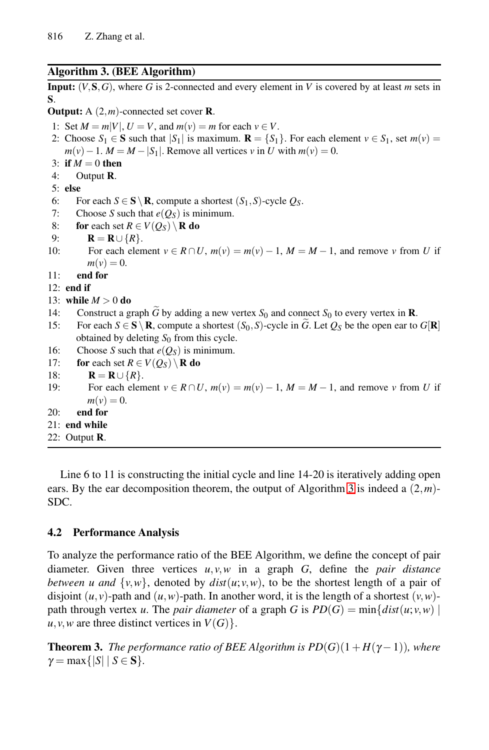### <span id="page-9-0"></span>**Algorithm 3. (BEE Algorithm)**

**Input:**  $(V, S, G)$ , where *G* is 2-connected and every element in *V* is covered by at least *m* sets in **S**.

**Output:** A (2,*m*)-connected set cover **R**.

- 1: Set  $M = m|V|$ ,  $U = V$ , and  $m(v) = m$  for each  $v \in V$ .
- 2: Choose  $S_1 \in \mathbf{S}$  such that  $|S_1|$  is maximum.  $\mathbf{R} = \{S_1\}$ . For each element  $v \in S_1$ , set  $m(v)$  $m(v) - 1$ .  $M = M - |S_1|$ . Remove all vertices *v* in *U* with  $m(v) = 0$ .
- 3: **if**  $M = 0$  **then**
- 4: Output **R**.
- 5: **else**
- 6: For each  $S \in \mathbf{S} \setminus \mathbf{R}$ , compute a shortest  $(S_1, S)$ -cycle  $Q_S$ .
- 7: Choose *S* such that  $e(Q_S)$  is minimum.
- 8: **for** each set  $R \in V(Q_S) \setminus \mathbf{R}$  do
- 9: **R** = **R** ∪ {*R*}.
- 10: For each element  $v \in R \cap U$ ,  $m(v) = m(v) 1$ ,  $M = M 1$ , and remove *v* from *U* if  $m(v) = 0$ .
- 11: **end for**
- 12: **end if**
- 13: **while**  $M > 0$  **do**
- 14: Construct a graph  $\widetilde{G}$  by adding a new vertex  $S_0$  and connect  $S_0$  to every vertex in **R**.<br>15: For each  $S \in \mathbf{S} \setminus \mathbf{R}$ , compute a shortest  $(S_0, S)$ -cvcle in  $\widetilde{G}$ . Let  $O_S$  be the open ear to
- For each  $S \in \mathbf{S} \setminus \mathbf{R}$ , compute a shortest  $(S_0, S)$ -cycle in *G*. Let  $Q_S$  be the open ear to  $G[\mathbf{R}]$ obtained by deleting  $S_0$  from this cycle.
- 16: Choose *S* such that  $e(Q_S)$  is minimum.
- 17: **for** each set  $R \in V(Q_S) \setminus \mathbf{R}$  do 18: **R** = **R** | {R}
- $\mathbf{R} = \mathbf{R} \cup \{R\}.$
- 19: For each element  $v \in R \cap U$  $v \in R \cap U$ ,  $m(v) = m(v) 1$ ,  $M = M 1$ , and remove *v* from *U* if  $m(v) = 0.$
- 20: **end for**
- 21: **end while**
- 22: Output **R**.

Line 6 to 11 is constructing the initial cycle and line 14-20 is iteratively adding open ears. By the ear decomposition theorem, the output of Algorithm 3 is indeed a  $(2,m)$ -SDC.

#### **4.2 Performance Analysis**

To analyze the performance ratio of the BEE Algorithm, we define the concept of pair diameter. Given three vertices *u*,*v*,*w* in a graph *G*, define the *pair distance between u and*  $\{v, w\}$ , denoted by *dist*( $u$ ; $v$ , $w$ ), to be the shortest length of a pair of disjoint  $(u, v)$ -path and  $(u, w)$ -path. In another word, it is the length of a shortest  $(v, w)$ path through vertex *u*. The *pair diameter* of a graph *G* is  $PD(G) = min\{dist(u; v, w) \mid$  $u, v, w$  are three distinct vertices in  $V(G)$ .

**Theorem 3.** *The performance ratio of BEE Algorithm is*  $PD(G)(1+H(\gamma-1))$ *, where*  $\gamma = \max\{|S| \mid S \in S\}.$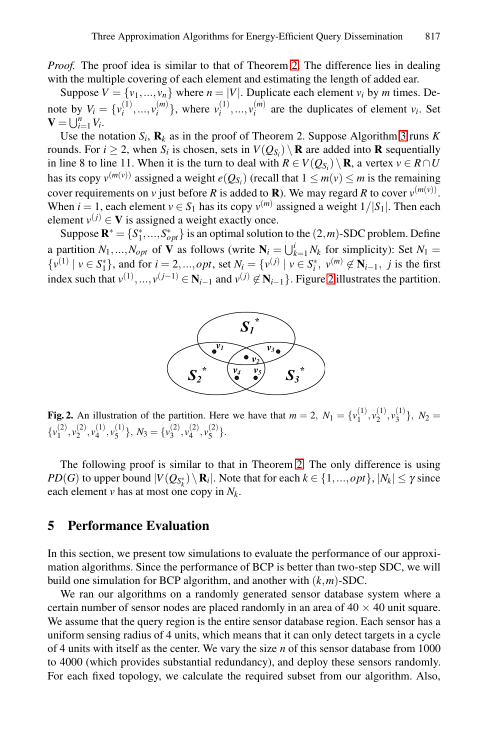*Proof.* The proof idea is similar to that of Theorem 2. The difference lies in dealing with the multiple covering of each element and estimating the length of added ear.

Suppose  $V = \{v_1, ..., v_n\}$  where  $n = |V|$ . Duplicate each element  $v_i$  by *m* times. Denote by  $V_i = \{v_i^{(1)}, ..., v_i^{(m)}\}$ , where  $v_i^{(1)}, ..., v_i^{(m)}$  are the duplicates of element  $v_i$ . Set  $V = \bigcup_{i=1}^{n} V_i.$ 

Use the notation  $S_i$ ,  $\mathbf{R}_k$  as in the proof of Theorem 2. Suppose Algorithm 3 runs  $K$ rounds. For  $i \geq 2$ , when  $S_i$  is chosen, sets in  $V(Q_{S_i}) \setminus \mathbf{R}$  are added into  $\mathbf{R}$  sequentially in line 8 to line 11. When it is the turn to deal with  $R \in V(Q_{S_i}) \setminus \mathbf{R}$ , a vertex  $v \in R \cap U$ has its copy  $v^{(m(v))}$  assigned a weight  $e(Q_{S_i})$  (recall that  $1 \le m(v) \le m$  is the remaining cover requirements on *v* just before *R* is added to **R**). We may regard *R* to cover  $v^{(m(v))}$ . When  $i = 1$ , each element  $v \in S_1$  has its copy  $v^{(m)}$  assigned a weight  $1/|S_1|$ . Then each element  $v^{(j)} \in V$  is assigned a weight exactly once.

Suppose  $\mathbf{R}^* = \{S_1^*,...,S_{opt}^*\}$  is an optimal solution to the  $(2,m)$ -SDC problem. Define a partition  $N_1, ..., N_{opt}$  of **V** as follows (write  $N_i = \bigcup_{k=1}^{i} N_k$  for simplicity): Set  $N_1 =$  $\{v^{(1)} | v \in S_1^*\}$ , and for  $i = 2,..., opt$ , set  $N_i = \{v^{(j)} | v \in S_i^*, v^{(m)} \notin \mathbb{N}_{i-1}, j$  is the first index such that  $v^{(1)},...,v^{(j-1)} \in \mathbb{N}_{i-1}$  and  $v^{(j)} \notin \mathbb{N}_{i-1}$ . Figure 2 illustrates the partition.

<span id="page-10-1"></span>

<span id="page-10-0"></span>**Fig. 2.** An illustration of the partition. Here we have that  $m = 2$ ,  $N_1 = \{v_1^{(1)}, v_2^{(1)}, v_3^{(1)}\}$ ,  $N_2 =$  ${v_1^{(2)}, v_2^{(2)}, v_4^{(1)}, v_5^{(1)}}$ ,  $N_3 = {v_3^{(2)}, v_4^{(2)}, v_5^{(2)}}$ .

The following proof is similar to that in Theorem 2. The only difference is using *PD*(*G*) to upper bound  $|V(Q_{S_k^*}) \setminus \mathbf{R}_i|$ . Note that for each  $k \in \{1,..., opt\}$ ,  $|N_k| \leq \gamma$  since each element *v* has at most one copy in  $N_k$ .

### **5 Performance Evaluation**

In this section, we present tow simulations to evaluate the performance of our approximation algorithms. Since the performance of BCP is better than two-step SDC, we will build one simulation for BCP algorithm, and another with (*k*,*m*)-SDC.

We ran our algorithms on a randomly generated sensor database system where a certain number of sensor nodes are placed randomly in an area of  $40 \times 40$  unit square. We assume that the query region is the entire sensor database region. Each sensor has a uniform sensing radius of 4 units, which means that it can only detect targets in a cycle of 4 units with itself as the center. We vary the size *n* of this sensor database from 1000 to 4000 (which provides substantial redundancy), and deploy these sensors randomly. For each fixed topology, we calculate the required subset from our algorithm. Also,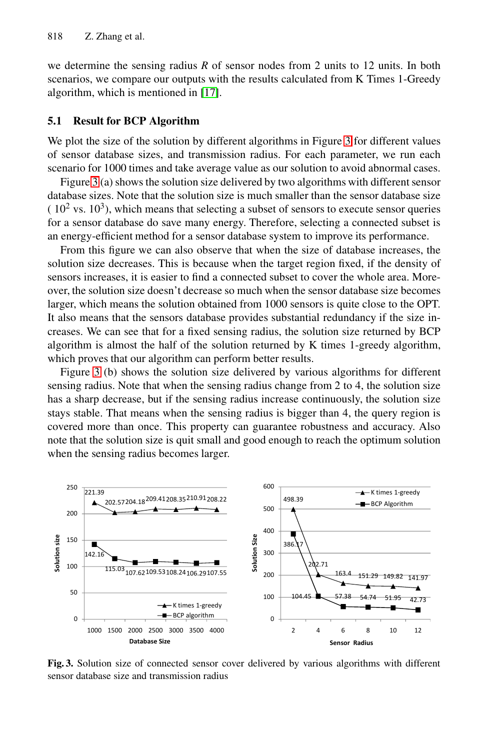we determine the sensing radius *R* of sensor nodes from 2 units to 12 units. In both scenarios, we compare our outputs with the results calculated from K Times 1-Greedy algorithm, which is mentioned in [17].

### **5.1 Result for BCP Algorithm**

We plot the size of the solution by different algorithms in Figure 3 for different values of sensor database sizes, and transmission radius. For each parameter, we run each scenario for 1000 times and take average value as our solution to avoid abnormal cases.

Figure 3 (a) shows the solution size delivered by two algorithms with different sensor database sizes. Note that the solution size is much smaller than the sensor database size  $(10^2 \text{ vs. } 10^3)$ , which means that selecting a subset of sensors to execute sensor queries for a sensor database do save many energy. Therefore, selecting a connected subset is an energy-efficient method for a sensor database system to improve its performance.

From this figure we can also observe that when the size of database increases, the solution size decreases. This is because when the target region fixed, if the density of sensors increases, it is easier to find a connected subset to cover the whole area. Moreover, the solution size doesn't decrease so much when the sensor database size becomes larger, which means the solution obtained from 1000 sensors is quite close to the OPT. It also means that the sensors database provides substantial redundancy if the size increases. We can see that for a fixed sensing radius, the solution size returned by BCP algorithm is almost the half of the solution returned by K times 1-greedy algorithm, which proves that our algorithm can perform better results.

Figure 3 (b) shows the solution size delivered by various algorithms for different sensing radius. Note that when the sensing radius change from 2 to 4, the solution size has a sharp decrease, but if the sensing radius increase continuously, the solution size stays stable. That means when the sensing radius is bigger than 4, the query region is covered more than once. This property can guarantee robustness and accuracy. Also note that the solution size is quit small and good enough to reach the optimum solution when the sensing radius becomes larger.



**Fig. 3.** Solution size of connected sensor cover delivered by various algorithms with different sensor database size and transmission radius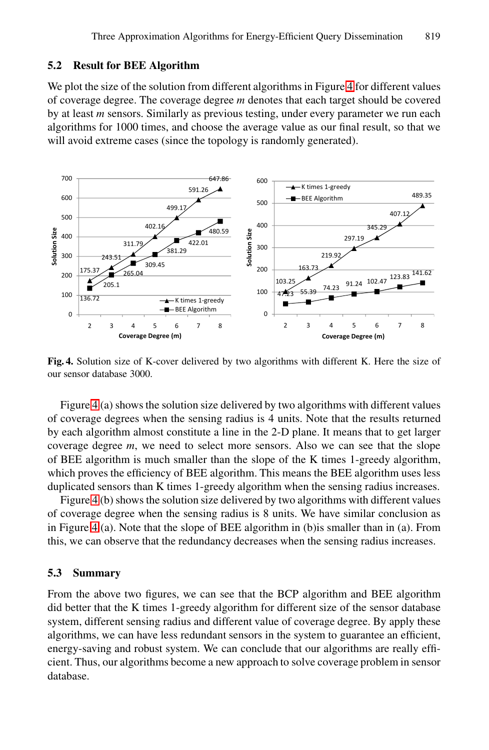### **5.2 Result for BEE Algorithm**

We plot the size of the solution from different algorithms in Figure 4 for different values of coverage degree. The coverage degree *m* denotes that each target should be covered by at least *m* sensors. Similarly as previous testing, under every parameter we run each algorithms for 1000 times, and choose the average value as our final result, so that we will avoid extreme cases (since the topology is randomly generated).



**Fig. 4.** Solution size of K-cover delivered by two algorithms with different K. Here the size of our sensor database 3000.

Figure 4 (a) shows the solution size delivered by two algorithms with different values of coverage degrees when the sensing radius is 4 units. Note that the results returned by each algorithm almost constitute a line in the 2-D plane. It means that to get larger coverage degree *m*, we need to select more sensors. Also we can see that the slope of BEE algorithm is much smaller than the slope of the K times 1-greedy algorithm, which proves the efficiency of BEE algorithm. This means the BEE algorithm uses less duplicated sensors than K times 1-greedy algorithm when the sensing radius increases.

Figure 4 (b) shows the solution size delivered by two algorithms with different values of coverage degree when the sensing radius is 8 units. We have similar conclusion as in Figure 4 (a). Note that the slope of BEE algorithm in (b)is smaller than in (a). From this, we can observe that the redundancy decreases when the sensing radius increases.

#### **5.3 Summary**

From the above two figures, we can see that the BCP algorithm and BEE algorithm did better that the K times 1-greedy algorithm for different size of the sensor database system, different sensing radius and different value of coverage degree. By apply these algorithms, we can have less redundant sensors in the system to guarantee an efficient, energy-saving and robust system. We can conclude that our algorithms are really efficient. Thus, our algorithms become a new approach to solve coverage problem in sensor database.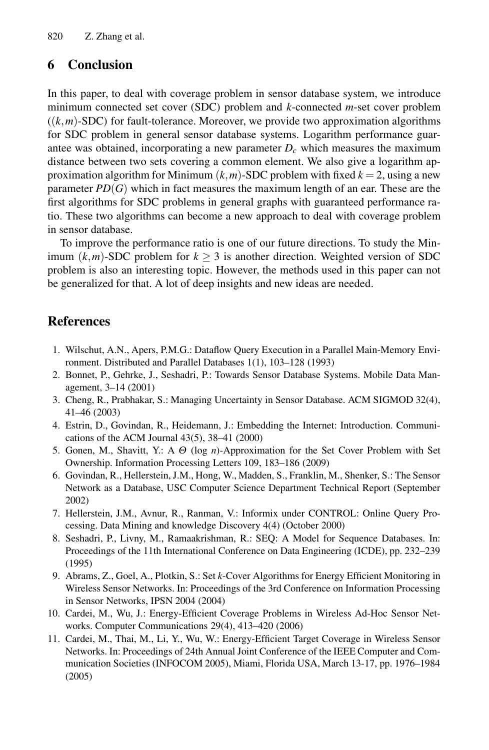### <span id="page-13-6"></span>**6 Conclusion**

In this paper, to deal with coverage problem in sensor database system, we introduce minimum connected set cover (SDC) problem and *k*-connected *m*-set cover problem  $((k,m)$ -SDC) for fault-tolerance. Moreover, we provide two approximation algorithms for SDC problem in general sensor database systems. Logarithm performance guarantee was obtained, incorporating a new parameter  $D<sub>c</sub>$  which measures the maximum distance between two sets covering a common element. We also give a logarithm approximation algorithm for Minimum  $(k,m)$ -SDC problem with fixed  $k = 2$ , using a new parameter  $PD(G)$  which in fact measures the maximum length of an ear. These are the first algorithms for SDC problems in general graphs with guaranteed performance ratio. These two algorithms can become a new approach to deal with coverage problem in sensor database.

To improve the performance ratio is one of our future directions. To study the Minimum  $(k,m)$ -SDC problem for  $k \geq 3$  is another direction. Weighted version of SDC problem is also an interesting topic. However, the methods used in this paper can not be generalized for that. A lot of deep insights and new ideas are needed.

### **References**

- 1. Wilschut, A.N., Apers, P.M.G.: Dataflow Query Execution in a Parallel Main-Memory Environment. Distributed and Parallel Databases 1(1), 103–128 (1993)
- <span id="page-13-0"></span>2. Bonnet, P., Gehrke, J., Seshadri, P.: Towards Sensor Database Systems. Mobile Data Management, 3–14 (2001)
- <span id="page-13-1"></span>3. Cheng, R., Prabhakar, S.: Managing Uncertainty in Sensor Database. ACM SIGMOD 32(4), 41–46 (2003)
- 4. Estrin, D., Govindan, R., Heidemann, J.: Embedding the Internet: Introduction. Communications of the ACM Journal 43(5), 38–41 (2000)
- <span id="page-13-3"></span>5. Gonen, M., Shavitt, Y.: A <sup>Θ</sup> (log *n*)-Approximation for the Set Cover Problem with Set Ownership. Information Processing Letters 109, 183–186 (2009)
- <span id="page-13-2"></span>6. Govindan, R., Hellerstein, J.M., Hong, W., Madden, S., Franklin, M., Shenker, S.: The Sensor Network as a Database, USC Computer Science Department Technical Report (September 2002)
- 7. Hellerstein, J.M., Avnur, R., Ranman, V.: Informix under CONTROL: Online Query Processing. Data Mining and knowledge Discovery 4(4) (October 2000)
- 8. Seshadri, P., Livny, M., Ramaakrishman, R.: SEQ: A Model for Sequence Databases. In: Proceedings of the 11th International Conference on Data Engineering (ICDE), pp. 232–239 (1995)
- <span id="page-13-5"></span>9. Abrams, Z., Goel, A., Plotkin, S.: Set *k*-Cover Algorithms for Energy Efficient Monitoring in Wireless Sensor Networks. In: Proceedings of the 3rd Conference on Information Processing in Sensor Networks, IPSN 2004 (2004)
- 10. Cardei, M., Wu, J.: Energy-Efficient Coverage Problems in Wireless Ad-Hoc Sensor Networks. Computer Communications 29(4), 413–420 (2006)
- <span id="page-13-4"></span>11. Cardei, M., Thai, M., Li, Y., Wu, W.: Energy-Efficient Target Coverage in Wireless Sensor Networks. In: Proceedings of 24th Annual Joint Conference of the IEEE Computer and Communication Societies (INFOCOM 2005), Miami, Florida USA, March 13-17, pp. 1976–1984 (2005)